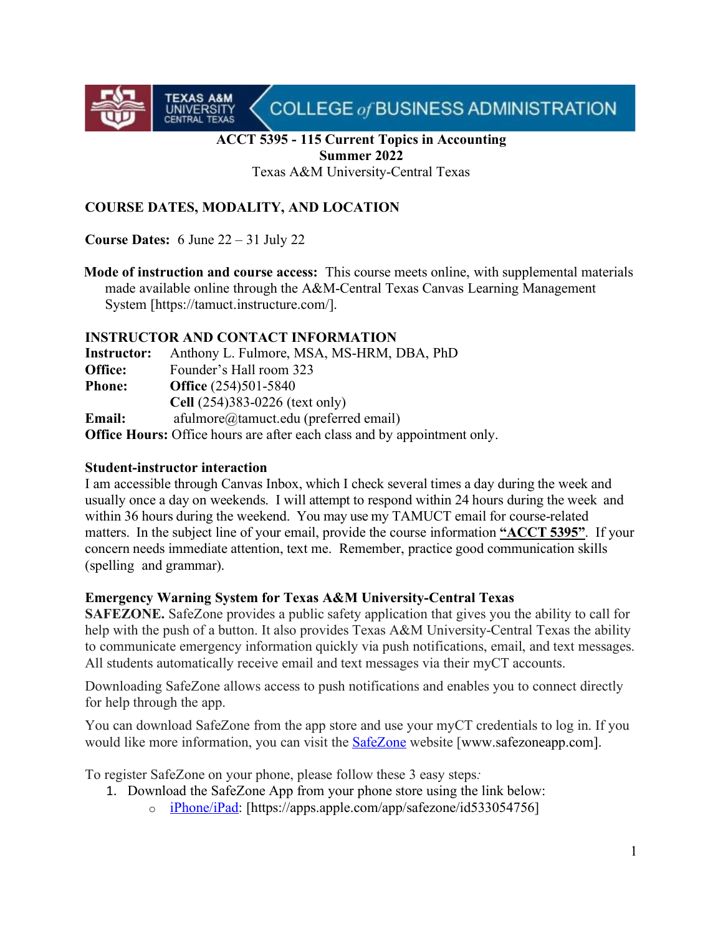COLLEGE of BUSINESS ADMINISTRATION

## **ACCT 5395 - 115 Current Topics in Accounting Summer 2022**

Texas A&M University-Central Texas

# **COURSE DATES, MODALITY, AND LOCATION**

**Course Dates:** 6 June 22 – 31 July 22

**TEXAS A&M**<br>UNIVERSITY<br>CENTRAL TEXAS

**Mode of instruction and course access:** This course meets online, with supplemental materials made available online through the A&M-Central Texas Canvas Learning Management System [https://tamuct.instructure.com/].

## **INSTRUCTOR AND CONTACT INFORMATION**

**Instructor:** Anthony L. Fulmore, MSA, MS-HRM, DBA, PhD **Office:** Founder's Hall room 323 **Phone: Office** (254)501-5840 **Cell** (254)383-0226 (text only) **Email:** afulmore@tamuct.edu (preferred email) **Office Hours:** Office hours are after each class and by appointment only.

## **Student-instructor interaction**

I am accessible through Canvas Inbox, which I check several times a day during the week and usually once a day on weekends. I will attempt to respond within 24 hours during the week and within 36 hours during the weekend. You may use my TAMUCT email for course-related matters. In the subject line of your email, provide the course information **"ACCT 5395"**. If your concern needs immediate attention, text me. Remember, practice good communication skills (spelling and grammar).

# **Emergency Warning System for Texas A&M University-Central Texas**

**SAFEZONE.** SafeZone provides a public safety application that gives you the ability to call for help with the push of a button. It also provides Texas A&M University-Central Texas the ability to communicate emergency information quickly via push notifications, email, and text messages. All students automatically receive email and text messages via their myCT accounts.

Downloading SafeZone allows access to push notifications and enables you to connect directly for help through the app.

You can download SafeZone from the app store and use your myCT credentials to log in. If you would like more information, you can visit the [SafeZone](http://www.safezoneapp.com/) website [www.safezoneapp.com].

To register SafeZone on your phone, please follow these 3 easy steps*:* 

- 1. Download the SafeZone App from your phone store using the link below:
	- o [iPhone/iPad:](https://apps.apple.com/app/safezone/id533054756) [https://apps.apple.com/app/safezone/id533054756]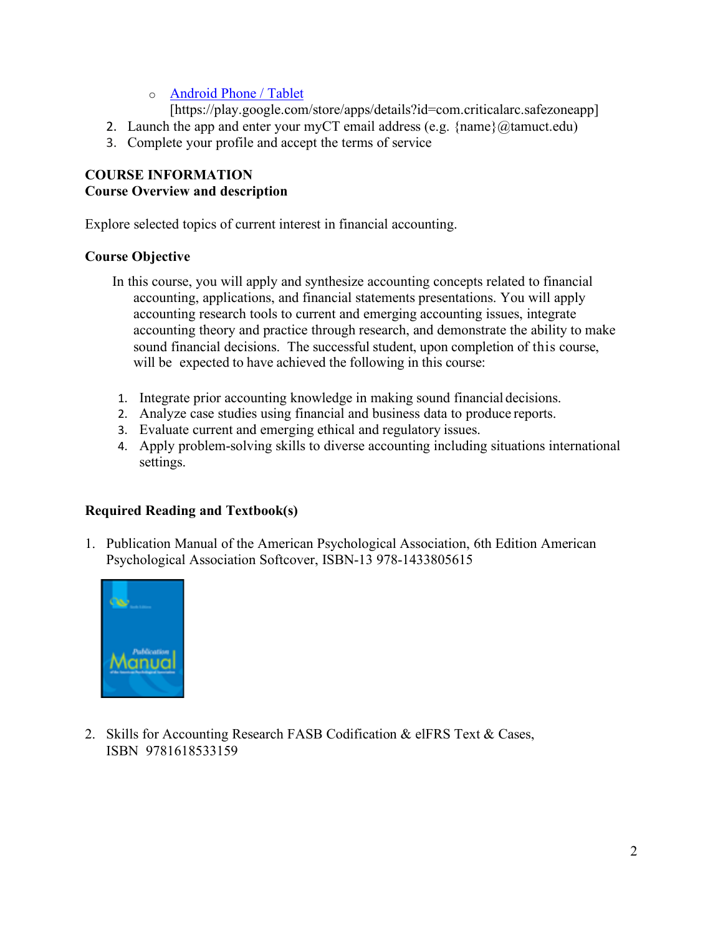o [Android Phone / Tablet](https://play.google.com/store/apps/details?id=com.criticalarc.safezoneapp)

[https://play.google.com/store/apps/details?id=com.criticalarc.safezoneapp]

- 2. Launch the app and enter your myCT email address (e.g.  $\{\text{name}\}\langle\omega\rangle$  tamuct.edu)
- 3. Complete your profile and accept the terms of service

# **COURSE INFORMATION Course Overview and description**

Explore selected topics of current interest in financial accounting.

# **Course Objective**

- In this course, you will apply and synthesize accounting concepts related to financial accounting, applications, and financial statements presentations. You will apply accounting research tools to current and emerging accounting issues, integrate accounting theory and practice through research, and demonstrate the ability to make sound financial decisions. The successful student, upon completion of this course, will be expected to have achieved the following in this course:
- 1. Integrate prior accounting knowledge in making sound financial decisions.
- 2. Analyze case studies using financial and business data to produce reports.
- 3. Evaluate current and emerging ethical and regulatory issues.
- 4. Apply problem-solving skills to diverse accounting including situations international settings.

# **Required Reading and Textbook(s)**

1. Publication Manual of the American Psychological Association, 6th Edition American Psychological Association Softcover, ISBN-13 978-1433805615



2. Skills for Accounting Research FASB Codification & elFRS Text & Cases, ISBN 9781618533159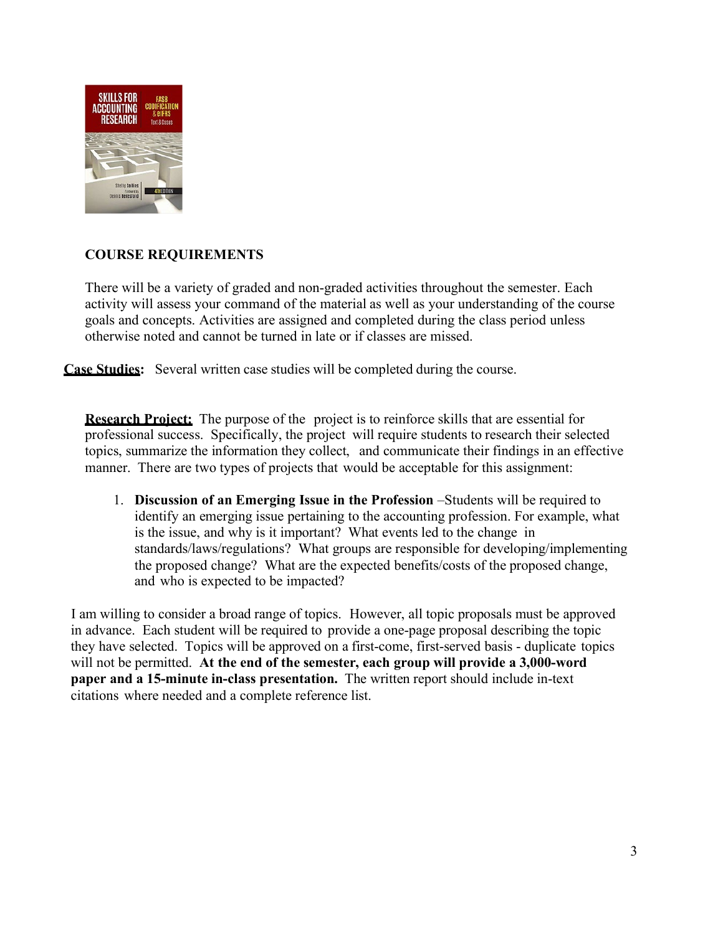

# **COURSE REQUIREMENTS**

There will be a variety of graded and non-graded activities throughout the semester. Each activity will assess your command of the material as well as your understanding of the course goals and concepts. Activities are assigned and completed during the class period unless otherwise noted and cannot be turned in late or if classes are missed.

**Case Studies:** Several written case studies will be completed during the course.

**Research Project:** The purpose of the project is to reinforce skills that are essential for professional success. Specifically, the project will require students to research their selected topics, summarize the information they collect, and communicate their findings in an effective manner. There are two types of projects that would be acceptable for this assignment:

1. **Discussion of an Emerging Issue in the Profession** –Students will be required to identify an emerging issue pertaining to the accounting profession. For example, what is the issue, and why is it important? What events led to the change in standards/laws/regulations? What groups are responsible for developing/implementing the proposed change? What are the expected benefits/costs of the proposed change, and who is expected to be impacted?

 I am willing to consider a broad range of topics. However, all topic proposals must be approved in advance. Each student will be required to provide a one-page proposal describing the topic they have selected. Topics will be approved on a first-come, first-served basis - duplicate topics will not be permitted. **At the end of the semester, each group will provide a 3,000-word paper and a 15-minute in-class presentation.** The written report should include in-text citations where needed and a complete reference list.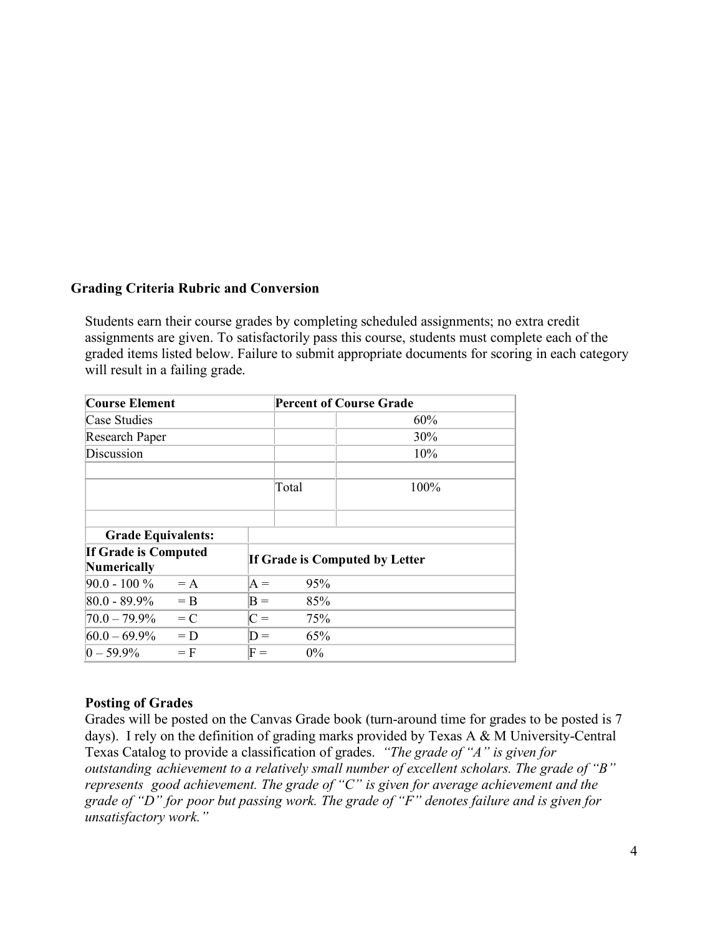# **Grading Criteria Rubric and Conversion**

Students earn their course grades by completing scheduled assignments; no extra credit assignments are given. To satisfactorily pass this course, students must complete each of the graded items listed below. Failure to submit appropriate documents for scoring in each category will result in a failing grade.

| <b>Course Element</b>                             |       |                | <b>Percent of Course Grade</b> |      |  |
|---------------------------------------------------|-------|----------------|--------------------------------|------|--|
| Case Studies                                      |       |                |                                | 60%  |  |
| Research Paper                                    |       |                |                                | 30%  |  |
| Discussion                                        |       |                |                                | 10%  |  |
|                                                   |       |                | Total                          | 100% |  |
| <b>Grade Equivalents:</b>                         |       |                |                                |      |  |
| <b>If Grade is Computed</b><br><b>Numerically</b> |       |                | If Grade is Computed by Letter |      |  |
| $90.0 - 100 \% = A$                               |       | $A =$          | 95%                            |      |  |
| $ 80.0 - 89.9\%  = B$                             |       | $B =$          | 85%                            |      |  |
| $70.0 - 79.9\%$                                   | $= C$ | $C =$          | 75%                            |      |  |
| $60.0 - 69.9\%$                                   | $= D$ | $D =$          | 65%                            |      |  |
| $ 0 - 59.9\% $                                    | $=$ F | $\mathrm{F} =$ | $0\%$                          |      |  |

## **Posting of Grades**

Grades will be posted on the Canvas Grade book (turn-around time for grades to be posted is 7 days). I rely on the definition of grading marks provided by Texas A & M University-Central Texas Catalog to provide a classification of grades. *"The grade of "A" is given for outstanding achievement to a relatively small number of excellent scholars. The grade of "B" represents good achievement. The grade of "C" is given for average achievement and the grade of "D" for poor but passing work. The grade of "F" denotes failure and is given for unsatisfactory work."*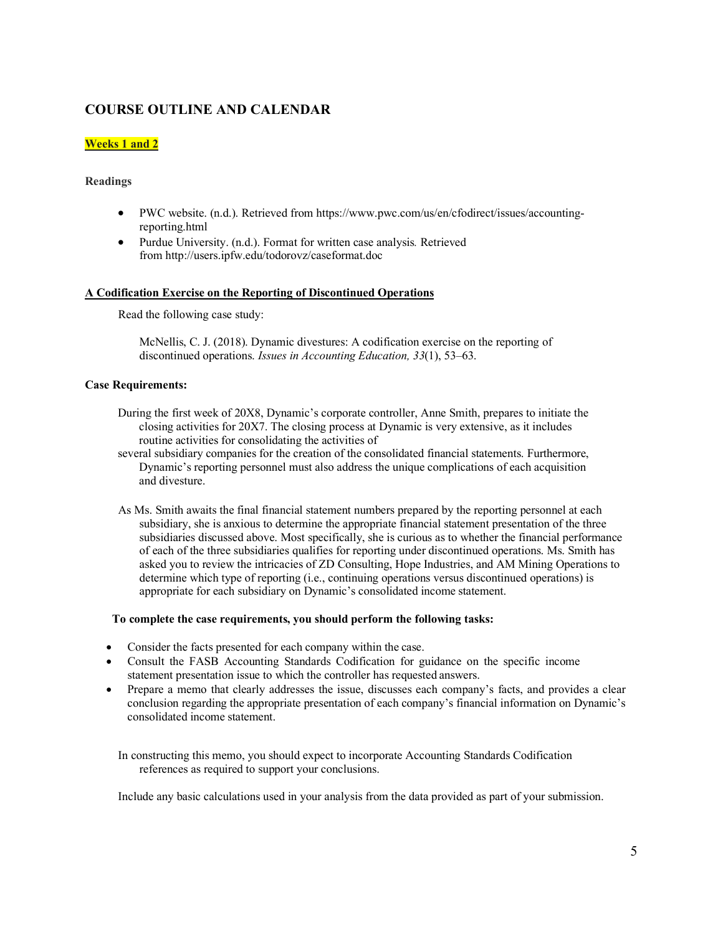# **COURSE OUTLINE AND CALENDAR**

## **Weeks 1 and 2**

## **Readings**

- PWC website. (n.d.). Retrieved from https:/[/www.pwc.com/us/en/cfodirect/issues/accounting](http://www.pwc.com/us/en/cfodirect/issues/accounting-)reporting.html
- Purdue University. (n.d.). Format for written case analysis*.* Retrieved fro[m http://users.ipfw.edu/todorovz/caseformat.doc](http://users.ipfw.edu/todorovz/caseformat.doc)

### **A Codification Exercise on the Reporting of Discontinued Operations**

Read the following case study:

McNellis, C. J. (2018). Dynamic divestures: A codification exercise on the reporting of discontinued operations. *Issues in Accounting Education, 33*(1), 53–63.

### **Case Requirements:**

- During the first week of 20X8, Dynamic's corporate controller, Anne Smith, prepares to initiate the closing activities for 20X7. The closing process at Dynamic is very extensive, as it includes routine activities for consolidating the activities of
- several subsidiary companies for the creation of the consolidated financial statements. Furthermore, Dynamic's reporting personnel must also address the unique complications of each acquisition and divesture.
- As Ms. Smith awaits the final financial statement numbers prepared by the reporting personnel at each subsidiary, she is anxious to determine the appropriate financial statement presentation of the three subsidiaries discussed above. Most specifically, she is curious as to whether the financial performance of each of the three subsidiaries qualifies for reporting under discontinued operations. Ms. Smith has asked you to review the intricacies of ZD Consulting, Hope Industries, and AM Mining Operations to determine which type of reporting (i.e., continuing operations versus discontinued operations) is appropriate for each subsidiary on Dynamic's consolidated income statement.

### **To complete the case requirements, you should perform the following tasks:**

- Consider the facts presented for each company within the case.
- Consult the FASB Accounting Standards Codification for guidance on the specific income statement presentation issue to which the controller has requested answers.
- Prepare a memo that clearly addresses the issue, discusses each company's facts, and provides a clear conclusion regarding the appropriate presentation of each company's financial information on Dynamic's consolidated income statement.

In constructing this memo, you should expect to incorporate Accounting Standards Codification references as required to support your conclusions.

Include any basic calculations used in your analysis from the data provided as part of your submission.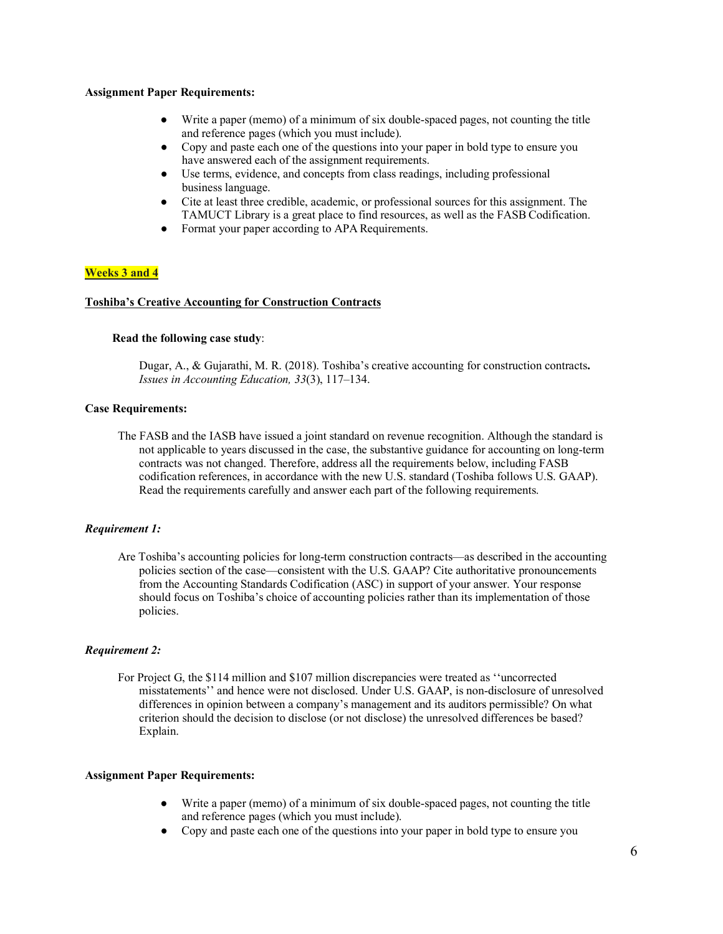- Write a paper (memo) of a minimum of six double-spaced pages, not counting the title and reference pages (which you must include).
- Copy and paste each one of the questions into your paper in bold type to ensure you have answered each of the assignment requirements.
- Use terms, evidence, and concepts from class readings, including professional business language.
- Cite at least three credible, academic, or professional sources for this assignment. The TAMUCT Library is a great place to find resources, as well as the FASB Codification.
- Format your paper according to APA Requirements.

## **Weeks 3 and 4**

#### **Toshiba's Creative Accounting for Construction Contracts**

#### **Read the following case study**:

Dugar, A., & Gujarathi, M. R. (2018). Toshiba's creative accounting for construction contracts**.**  *Issues in Accounting Education, 33*(3), 117–134.

### **Case Requirements:**

The FASB and the IASB have issued a joint standard on revenue recognition. Although the standard is not applicable to years discussed in the case, the substantive guidance for accounting on long-term contracts was not changed. Therefore, address all the requirements below, including FASB codification references, in accordance with the new U.S. standard (Toshiba follows U.S. GAAP). Read the requirements carefully and answer each part of the following requirements.

#### *Requirement 1:*

Are Toshiba's accounting policies for long-term construction contracts—as described in the accounting policies section of the case—consistent with the U.S. GAAP? Cite authoritative pronouncements from the Accounting Standards Codification (ASC) in support of your answer. Your response should focus on Toshiba's choice of accounting policies rather than its implementation of those policies.

#### *Requirement 2:*

For Project G, the \$114 million and \$107 million discrepancies were treated as ''uncorrected misstatements'' and hence were not disclosed. Under U.S. GAAP, is non-disclosure of unresolved differences in opinion between a company's management and its auditors permissible? On what criterion should the decision to disclose (or not disclose) the unresolved differences be based? Explain.

#### **Assignment Paper Requirements:**

- Write a paper (memo) of a minimum of six double-spaced pages, not counting the title and reference pages (which you must include).
- Copy and paste each one of the questions into your paper in bold type to ensure you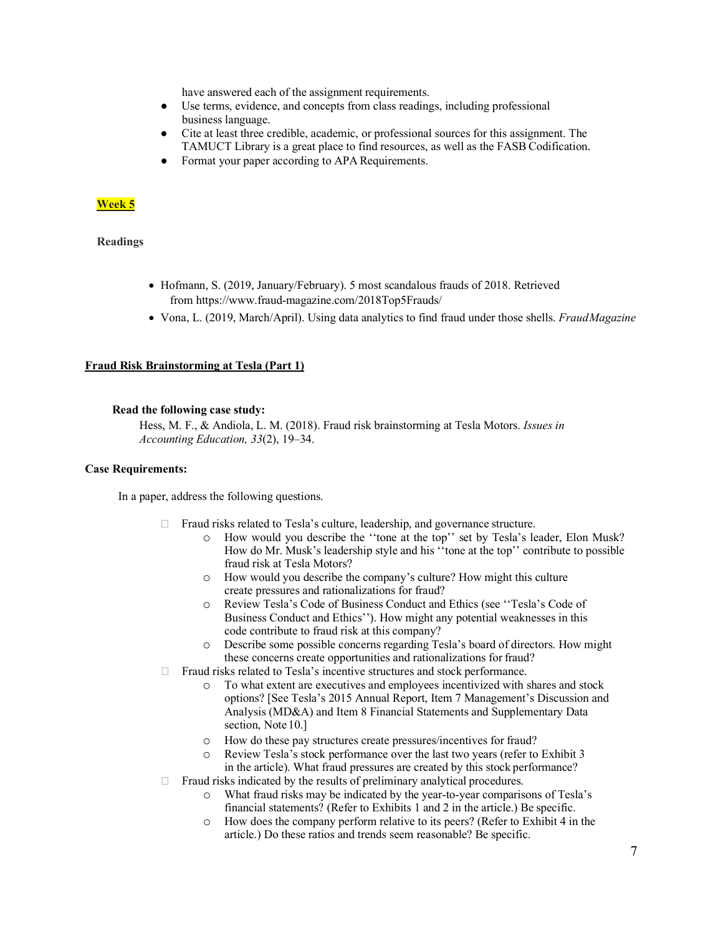have answered each of the assignment requirements.

- Use terms, evidence, and concepts from class readings, including professional business language.
- Cite at least three credible, academic, or professional sources for this assignment. The TAMUCT Library is a great place to find resources, as well as the FASB Codification.
- Format your paper according to APA Requirements.

## **Week 5**

#### **Readings**

- Hofmann, S. (2019, January/February). 5 most scandalous frauds of 2018. Retrieved from https:[//www.fraud-magazine.com/2018Top5Frauds/](http://www.fraud-magazine.com/2018Top5Frauds/)
- Vona, L. (2019, March/April). Using data analytics to find fraud under those shells. *Fraud Magazine*

#### **Fraud Risk Brainstorming at Tesla (Part 1)**

#### **Read the following case study:**

Hess, M. F., & Andiola, L. M. (2018). Fraud risk brainstorming at Tesla Motors. *Issues in Accounting Education, 33*(2), 19–34.

#### **Case Requirements:**

In a paper, address the following questions.

- □ Fraud risks related to Tesla's culture, leadership, and governance structure.
	- o How would you describe the ''tone at the top'' set by Tesla's leader, Elon Musk? How do Mr. Musk's leadership style and his ''tone at the top'' contribute to possible fraud risk at Tesla Motors?
	- o How would you describe the company's culture? How might this culture create pressures and rationalizations for fraud?
	- o Review Tesla's Code of Business Conduct and Ethics (see ''Tesla's Code of Business Conduct and Ethics''). How might any potential weaknesses in this code contribute to fraud risk at this company?
	- o Describe some possible concerns regarding Tesla's board of directors. How might these concerns create opportunities and rationalizations for fraud?
- □ Fraud risks related to Tesla's incentive structures and stock performance.
	- o To what extent are executives and employees incentivized with shares and stock options? [See Tesla's 2015 Annual Report, Item 7 Management's Discussion and Analysis (MD&A) and Item 8 Financial Statements and Supplementary Data section, Note 10.]
	- o How do these pay structures create pressures/incentives for fraud?
	- o Review Tesla's stock performance over the last two years (refer to Exhibit 3 in the article). What fraud pressures are created by this stock performance?
- $\Box$  Fraud risks indicated by the results of preliminary analytical procedures.
	- o What fraud risks may be indicated by the year-to-year comparisons of Tesla's financial statements? (Refer to Exhibits 1 and 2 in the article.) Be specific.
	- o How does the company perform relative to its peers? (Refer to Exhibit 4 in the article.) Do these ratios and trends seem reasonable? Be specific.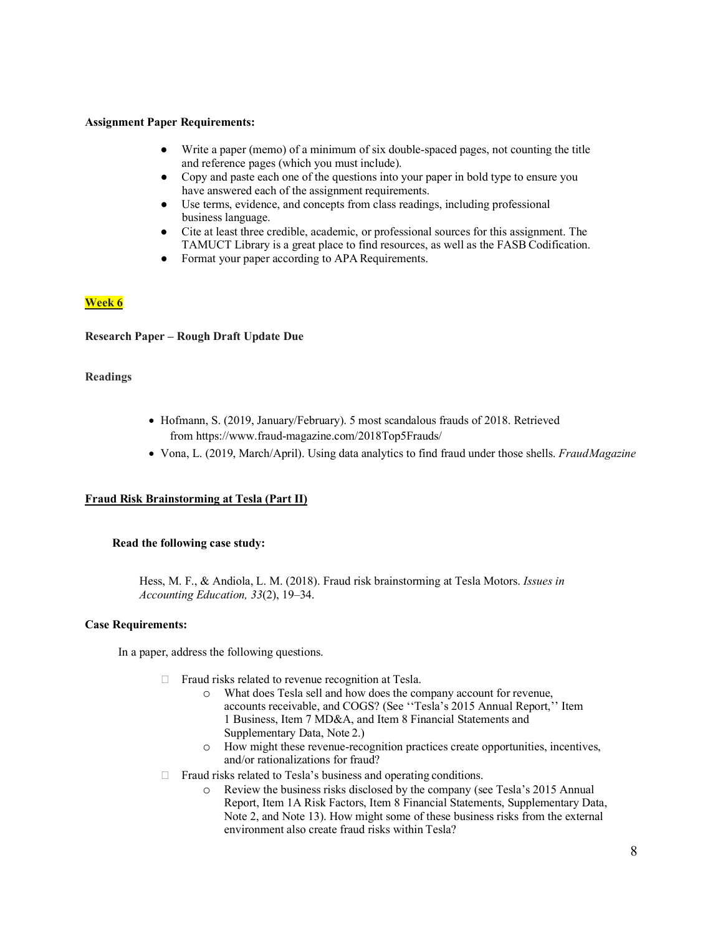- Write a paper (memo) of a minimum of six double-spaced pages, not counting the title and reference pages (which you must include).
- Copy and paste each one of the questions into your paper in bold type to ensure you have answered each of the assignment requirements.
- Use terms, evidence, and concepts from class readings, including professional business language.
- Cite at least three credible, academic, or professional sources for this assignment. The TAMUCT Library is a great place to find resources, as well as the FASB Codification.
- Format your paper according to APA Requirements.

## **Week 6**

## **Research Paper – Rough Draft Update Due**

### **Readings**

- Hofmann, S. (2019, January/February). 5 most scandalous frauds of 2018. Retrieved from https:[//www.fraud-magazine.com/2018Top5Frauds/](http://www.fraud-magazine.com/2018Top5Frauds/)
- Vona, L. (2019, March/April). Using data analytics to find fraud under those shells. *Fraud Magazine*

## **Fraud Risk Brainstorming at Tesla (Part II)**

### **Read the following case study:**

Hess, M. F., & Andiola, L. M. (2018). Fraud risk brainstorming at Tesla Motors. *Issues in Accounting Education, 33*(2), 19–34.

### **Case Requirements:**

In a paper, address the following questions.

- $\Box$  Fraud risks related to revenue recognition at Tesla.
	- o What does Tesla sell and how does the company account for revenue, accounts receivable, and COGS? (See ''Tesla's 2015 Annual Report,'' Item 1 Business, Item 7 MD&A, and Item 8 Financial Statements and Supplementary Data, Note 2.)
	- o How might these revenue-recognition practices create opportunities, incentives, and/or rationalizations for fraud?
- $\Box$  Fraud risks related to Tesla's business and operating conditions.
	- o Review the business risks disclosed by the company (see Tesla's 2015 Annual Report, Item 1A Risk Factors, Item 8 Financial Statements, Supplementary Data, Note 2, and Note 13). How might some of these business risks from the external environment also create fraud risks within Tesla?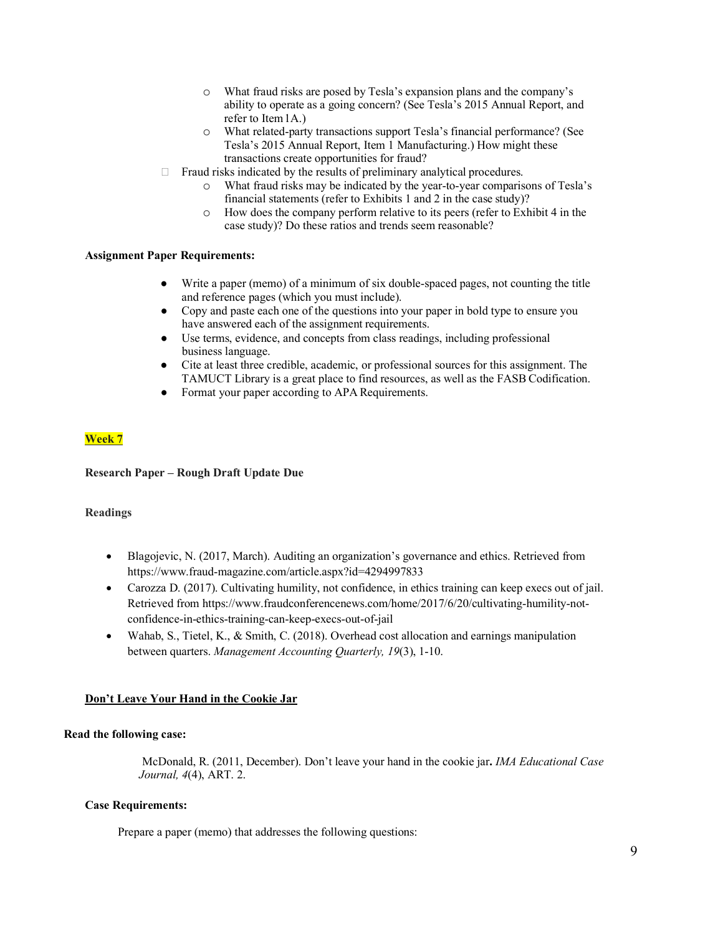- o What fraud risks are posed by Tesla's expansion plans and the company's ability to operate as a going concern? (See Tesla's 2015 Annual Report, and refer to Item1A.)
- o What related-party transactions support Tesla's financial performance? (See Tesla's 2015 Annual Report, Item 1 Manufacturing.) How might these transactions create opportunities for fraud?
- $\Box$  Fraud risks indicated by the results of preliminary analytical procedures.
	- o What fraud risks may be indicated by the year-to-year comparisons of Tesla's financial statements (refer to Exhibits 1 and 2 in the case study)?
	- o How does the company perform relative to its peers (refer to Exhibit 4 in the case study)? Do these ratios and trends seem reasonable?

- Write a paper (memo) of a minimum of six double-spaced pages, not counting the title and reference pages (which you must include).
- Copy and paste each one of the questions into your paper in bold type to ensure you have answered each of the assignment requirements.
- Use terms, evidence, and concepts from class readings, including professional business language.
- Cite at least three credible, academic, or professional sources for this assignment. The TAMUCT Library is a great place to find resources, as well as the FASB Codification.
- Format your paper according to APA Requirements.

## **Week 7**

### **Research Paper – Rough Draft Update Due**

### **Readings**

- Blagojevic, N. (2017, March). Auditing an organization's governance and ethics. Retrieved from https:/[/www.fraud-magazine.com/article.aspx?id=4294997833](http://www.fraud-magazine.com/article.aspx?id=4294997833)
- Carozza D. (2017). Cultivating humility, not confidence, in ethics training can keep execs out of jail. Retrieved from https:/[/www.fraudconferencenews.com/home/2017/6/20/cultivating-humility-not](http://www.fraudconferencenews.com/home/2017/6/20/cultivating-humility-not-)confidence-in-ethics-training-can-keep-execs-out-of-jail
- Wahab, S., Tietel, K., & Smith, C. (2018). Overhead cost allocation and earnings manipulation between quarters. *Management Accounting Quarterly, 19*(3), 1-10.

### **Don't Leave Your Hand in the Cookie Jar**

### **Read the following case:**

McDonald, R. (2011, December). Don't leave your hand in the cookie jar**.** *IMA Educational Case Journal, 4*(4), ART. 2.

## **Case Requirements:**

Prepare a paper (memo) that addresses the following questions: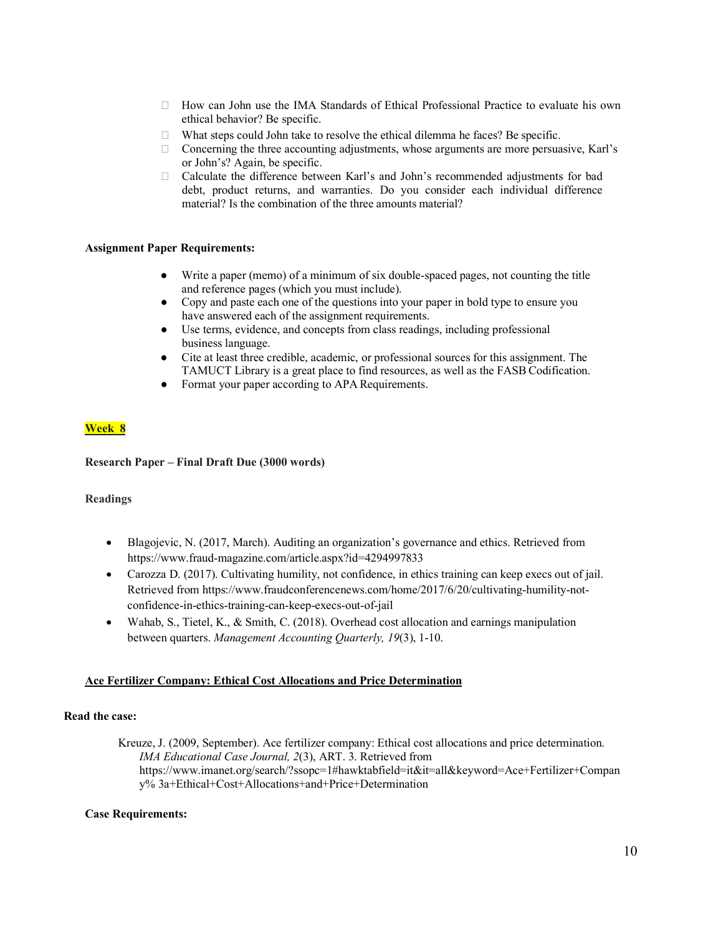- $\Box$  How can John use the IMA Standards of Ethical Professional Practice to evaluate his own ethical behavior? Be specific.
- What steps could John take to resolve the ethical dilemma he faces? Be specific.
- $\Box$  Concerning the three accounting adjustments, whose arguments are more persuasive, Karl's or John's? Again, be specific.
- Calculate the difference between Karl's and John's recommended adjustments for bad debt, product returns, and warranties. Do you consider each individual difference material? Is the combination of the three amounts material?

- Write a paper (memo) of a minimum of six double-spaced pages, not counting the title and reference pages (which you must include).
- Copy and paste each one of the questions into your paper in bold type to ensure you have answered each of the assignment requirements.
- Use terms, evidence, and concepts from class readings, including professional business language.
- Cite at least three credible, academic, or professional sources for this assignment. The TAMUCT Library is a great place to find resources, as well as the FASB Codification.
- Format your paper according to APA Requirements.

## **Week 8**

### **Research Paper – Final Draft Due (3000 words)**

### **Readings**

- Blagojevic, N. (2017, March). Auditing an organization's governance and ethics. Retrieved from https:/[/www.fraud-magazine.com/article.aspx?id=4294997833](http://www.fraud-magazine.com/article.aspx?id=4294997833)
- Carozza D. (2017). Cultivating humility, not confidence, in ethics training can keep execs out of jail. Retrieved from https:/[/www.fraudconferencenews.com/home/2017/6/20/cultivating-humility-not](http://www.fraudconferencenews.com/home/2017/6/20/cultivating-humility-not-)confidence-in-ethics-training-can-keep-execs-out-of-jail
- Wahab, S., Tietel, K., & Smith, C. (2018). Overhead cost allocation and earnings manipulation between quarters. *Management Accounting Quarterly, 19*(3), 1-10.

## **Ace Fertilizer Company: Ethical Cost Allocations and Price Determination**

### **Read the case:**

Kreuze, J. (2009, September). Ace fertilizer company: Ethical cost allocations and price determination. *IMA Educational Case Journal, 2*(3), ART. 3. Retrieved from https:/[/www.imanet.org/search/?ssopc=1#hawktabfield=it&it=all&keyword=Ace+Fertilizer+Compan](http://www.imanet.org/search/?ssopc=1%23hawktabfield%3Dit&it=all&keyword=Ace%2BFertilizer%2BCompany%25) [y%](http://www.imanet.org/search/?ssopc=1%23hawktabfield%3Dit&it=all&keyword=Ace%2BFertilizer%2BCompany%25) 3a+Ethical+Cost+Allocations+and+Price+Determination

### **Case Requirements:**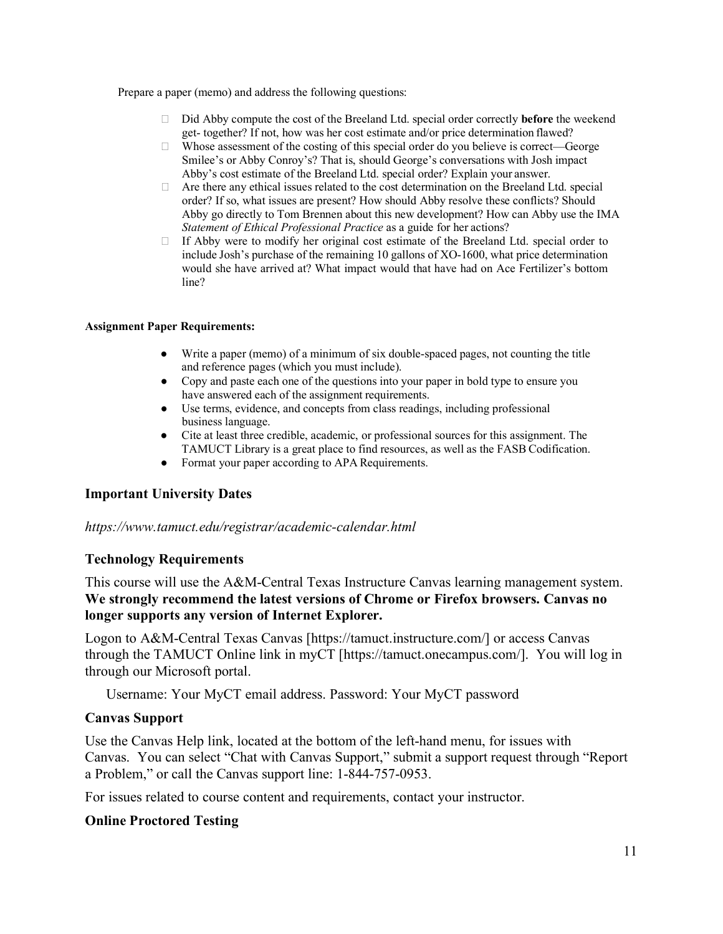Prepare a paper (memo) and address the following questions:

- Did Abby compute the cost of the Breeland Ltd. special order correctly **before** the weekend get- together? If not, how was her cost estimate and/or price determination flawed?
- $\Box$  Whose assessment of the costing of this special order do you believe is correct—George Smilee's or Abby Conroy's? That is, should George's conversations with Josh impact Abby's cost estimate of the Breeland Ltd. special order? Explain your answer.
- $\Box$  Are there any ethical issues related to the cost determination on the Breeland Ltd. special order? If so, what issues are present? How should Abby resolve these conflicts? Should Abby go directly to Tom Brennen about this new development? How can Abby use the IMA *Statement of Ethical Professional Practice* as a guide for her actions?
- $\Box$  If Abby were to modify her original cost estimate of the Breeland Ltd. special order to include Josh's purchase of the remaining 10 gallons of XO-1600, what price determination would she have arrived at? What impact would that have had on Ace Fertilizer's bottom line?

## **Assignment Paper Requirements:**

- Write a paper (memo) of a minimum of six double-spaced pages, not counting the title and reference pages (which you must include).
- Copy and paste each one of the questions into your paper in bold type to ensure you have answered each of the assignment requirements.
- Use terms, evidence, and concepts from class readings, including professional business language.
- Cite at least three credible, academic, or professional sources for this assignment. The TAMUCT Library is a great place to find resources, as well as the FASB Codification.
- Format your paper according to APA Requirements.

## **Important University Dates**

## *https://www.tamuct.edu/registrar/academic-calendar.html*

## **Technology Requirements**

This course will use the A&M-Central Texas Instructure Canvas learning management system. **We strongly recommend the latest versions of Chrome or Firefox browsers. Canvas no longer supports any version of Internet Explorer.**

Logon to A&M-Central Texas Canvas [https://tamuct.instructure.com/] or access Canvas through the TAMUCT Online link in myCT [https://tamuct.onecampus.com/]. You will log in through our Microsoft portal.

Username: Your MyCT email address. Password: Your MyCT password

## **Canvas Support**

Use the Canvas Help link, located at the bottom of the left-hand menu, for issues with Canvas. You can select "Chat with Canvas Support," submit a support request through "Report a Problem," or call the Canvas support line: 1-844-757-0953.

For issues related to course content and requirements, contact your instructor.

## **Online Proctored Testing**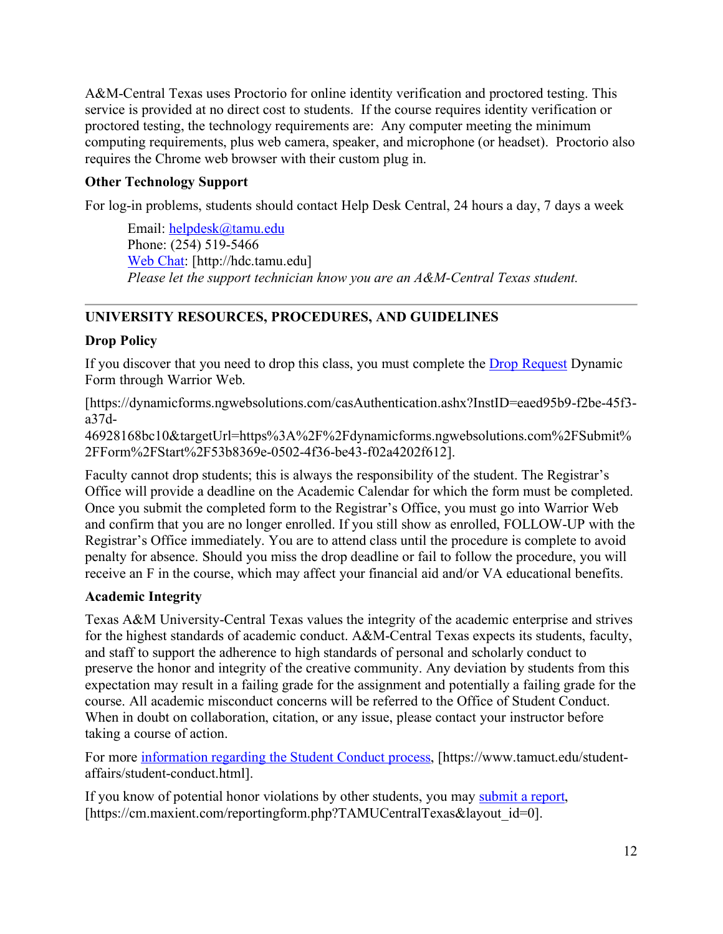A&M-Central Texas uses Proctorio for online identity verification and proctored testing. This service is provided at no direct cost to students. If the course requires identity verification or proctored testing, the technology requirements are: Any computer meeting the minimum computing requirements, plus web camera, speaker, and microphone (or headset). Proctorio also requires the Chrome web browser with their custom plug in.

# **Other Technology Support**

For log-in problems, students should contact Help Desk Central, 24 hours a day, 7 days a week

Email: [helpdesk@tamu.edu](mailto:helpdesk@tamu.edu) Phone: (254) 519-5466 [Web Chat:](http://hdc.tamu.edu/) [http://hdc.tamu.edu] *Please let the support technician know you are an A&M-Central Texas student.* 

# **UNIVERSITY RESOURCES, PROCEDURES, AND GUIDELINES**

# **Drop Policy**

If you discover that you need to drop this class, you must complete the **Drop Request Dynamic** Form through Warrior Web.

[https://dynamicforms.ngwebsolutions.com/casAuthentication.ashx?InstID=eaed95b9-f2be-45f3 a37d-

46928168bc10&targetUrl=https%3A%2F%2Fdynamicforms.ngwebsolutions.com%2FSubmit% 2FForm%2FStart%2F53b8369e-0502-4f36-be43-f02a4202f612].

Faculty cannot drop students; this is always the responsibility of the student. The Registrar's Office will provide a deadline on the Academic Calendar for which the form must be completed. Once you submit the completed form to the Registrar's Office, you must go into Warrior Web and confirm that you are no longer enrolled. If you still show as enrolled, FOLLOW-UP with the Registrar's Office immediately. You are to attend class until the procedure is complete to avoid penalty for absence. Should you miss the drop deadline or fail to follow the procedure, you will receive an F in the course, which may affect your financial aid and/or VA educational benefits.

# **Academic Integrity**

Texas A&M University-Central Texas values the integrity of the academic enterprise and strives for the highest standards of academic conduct. A&M-Central Texas expects its students, faculty, and staff to support the adherence to high standards of personal and scholarly conduct to preserve the honor and integrity of the creative community. Any deviation by students from this expectation may result in a failing grade for the assignment and potentially a failing grade for the course. All academic misconduct concerns will be referred to the Office of Student Conduct. When in doubt on collaboration, citation, or any issue, please contact your instructor before taking a course of action.

For more [information regarding the Student Conduct process,](https://nam04.safelinks.protection.outlook.com/?url=https%3A%2F%2Fwww.tamuct.edu%2Fstudent-affairs%2Fstudent-conduct.html&data=04%7C01%7Clisa.bunkowski%40tamuct.edu%7Ccfb6e486f24745f53e1a08d910055cb2%7C9eed4e3000f744849ff193ad8005acec%7C0%7C0%7C637558437485252160%7CUnknown%7CTWFpbGZsb3d8eyJWIjoiMC4wLjAwMDAiLCJQIjoiV2luMzIiLCJBTiI6Ik1haWwiLCJXVCI6Mn0%3D%7C1000&sdata=yjftDEVHvLX%2FhM%2FcFU0B99krV1RgEWR%2BJ%2BhvtoR6TYk%3D&reserved=0) [https://www.tamuct.edu/studentaffairs/student-conduct.html].

If you know of potential honor violations by other students, you may [submit a report,](https://nam04.safelinks.protection.outlook.com/?url=https%3A%2F%2Fcm.maxient.com%2Freportingform.php%3FTAMUCentralTexas%26layout_id%3D0&data=04%7C01%7Clisa.bunkowski%40tamuct.edu%7Ccfb6e486f24745f53e1a08d910055cb2%7C9eed4e3000f744849ff193ad8005acec%7C0%7C0%7C637558437485262157%7CUnknown%7CTWFpbGZsb3d8eyJWIjoiMC4wLjAwMDAiLCJQIjoiV2luMzIiLCJBTiI6Ik1haWwiLCJXVCI6Mn0%3D%7C1000&sdata=CXGkOa6uPDPX1IMZ87z3aZDq2n91xfHKu4MMS43Ejjk%3D&reserved=0) [https://cm.maxient.com/reportingform.php?TAMUCentralTexas&layout\_id=0].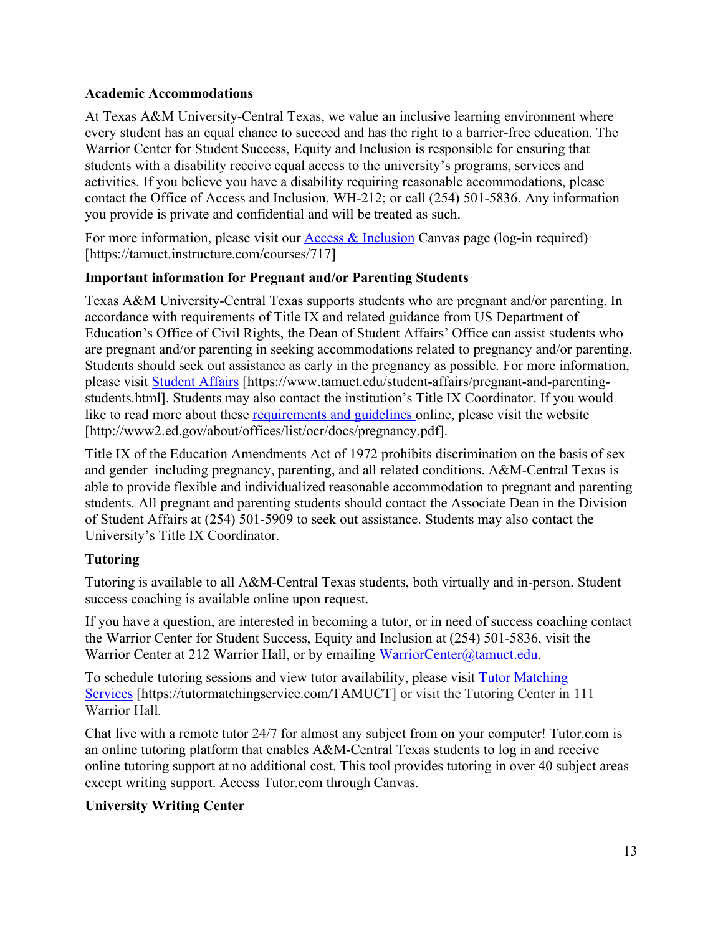# **Academic Accommodations**

At Texas A&M University-Central Texas, we value an inclusive learning environment where every student has an equal chance to succeed and has the right to a barrier-free education. The Warrior Center for Student Success, Equity and Inclusion is responsible for ensuring that students with a disability receive equal access to the university's programs, services and activities. If you believe you have a disability requiring reasonable accommodations, please contact the Office of Access and Inclusion, WH-212; or call (254) 501-5836. Any information you provide is private and confidential and will be treated as such.

For more information, please visit our  $\Delta$ cess & Inclusion Canvas page (log-in required) [https://tamuct.instructure.com/courses/717]

# **Important information for Pregnant and/or Parenting Students**

Texas A&M University-Central Texas supports students who are pregnant and/or parenting. In accordance with requirements of Title IX and related guidance from US Department of Education's Office of Civil Rights, the Dean of Student Affairs' Office can assist students who are pregnant and/or parenting in seeking accommodations related to pregnancy and/or parenting. Students should seek out assistance as early in the pregnancy as possible. For more information, please visit [Student Affairs](https://www.tamuct.edu/student-affairs/pregnant-and-parenting-students.html) [https://www.tamuct.edu/student-affairs/pregnant-and-parentingstudents.html]. Students may also contact the institution's Title IX Coordinator. If you would like to read more about these [requirements and guidelines](http://www2.ed.gov/about/offices/list/ocr/docs/pregnancy.pdf) online, please visit the website [http://www2.ed.gov/about/offices/list/ocr/docs/pregnancy.pdf].

Title IX of the Education Amendments Act of 1972 prohibits discrimination on the basis of sex and gender–including pregnancy, parenting, and all related conditions. A&M-Central Texas is able to provide flexible and individualized reasonable accommodation to pregnant and parenting students. All pregnant and parenting students should contact the Associate Dean in the Division of Student Affairs at (254) 501-5909 to seek out assistance. Students may also contact the University's Title IX Coordinator.

# **Tutoring**

Tutoring is available to all A&M-Central Texas students, both virtually and in-person. Student success coaching is available online upon request.

If you have a question, are interested in becoming a tutor, or in need of success coaching contact the Warrior Center for Student Success, Equity and Inclusion at (254) 501-5836, visit the Warrior Center at 212 Warrior Hall, or by emailing [WarriorCenter@tamuct.edu.](mailto:WarriorCenter@tamuct.edu)

To schedule tutoring sessions and view tutor availability, please visit [Tutor Matching](https://tutormatchingservice.com/TAMUCT) [Services](https://tutormatchingservice.com/TAMUCT) [https://tutormatchingservice.com/TAMUCT] or visit the Tutoring Center in 111 Warrior Hall.

Chat live with a remote tutor 24/7 for almost any subject from on your computer! Tutor.com is an online tutoring platform that enables A&M-Central Texas students to log in and receive online tutoring support at no additional cost. This tool provides tutoring in over 40 subject areas except writing support. Access Tutor.com through Canvas.

# **University Writing Center**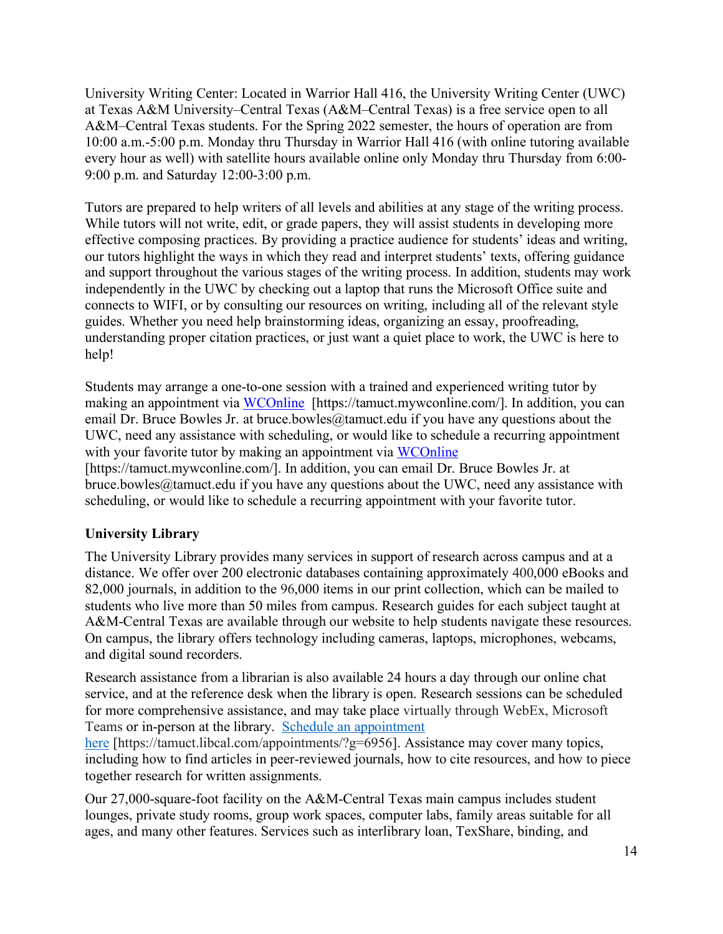University Writing Center: Located in Warrior Hall 416, the University Writing Center (UWC) at Texas A&M University–Central Texas (A&M–Central Texas) is a free service open to all A&M–Central Texas students. For the Spring 2022 semester, the hours of operation are from 10:00 a.m.-5:00 p.m. Monday thru Thursday in Warrior Hall 416 (with online tutoring available every hour as well) with satellite hours available online only Monday thru Thursday from 6:00- 9:00 p.m. and Saturday 12:00-3:00 p.m.

Tutors are prepared to help writers of all levels and abilities at any stage of the writing process. While tutors will not write, edit, or grade papers, they will assist students in developing more effective composing practices. By providing a practice audience for students' ideas and writing, our tutors highlight the ways in which they read and interpret students' texts, offering guidance and support throughout the various stages of the writing process. In addition, students may work independently in the UWC by checking out a laptop that runs the Microsoft Office suite and connects to WIFI, or by consulting our resources on writing, including all of the relevant style guides. Whether you need help brainstorming ideas, organizing an essay, proofreading, understanding proper citation practices, or just want a quiet place to work, the UWC is here to help!

Students may arrange a one-to-one session with a trained and experienced writing tutor by making an appointment via [WCOnline](https://tamuct.mywconline.com/) [https://tamuct.mywconline.com/]. In addition, you can email Dr. Bruce Bowles Jr. at bruce.bowles  $@$ tamuct.edu if you have any questions about the UWC, need any assistance with scheduling, or would like to schedule a recurring appointment with your favorite tutor by making an appointment via [WCOnline](https://tamuct.mywconline.com/) [https://tamuct.mywconline.com/]. In addition, you can email Dr. Bruce Bowles Jr. at bruce.bowles@tamuct.edu if you have any questions about the UWC, need any assistance with scheduling, or would like to schedule a recurring appointment with your favorite tutor.

# **University Library**

The University Library provides many services in support of research across campus and at a distance. We offer over 200 electronic databases containing approximately 400,000 eBooks and 82,000 journals, in addition to the 96,000 items in our print collection, which can be mailed to students who live more than 50 miles from campus. Research guides for each subject taught at A&M-Central Texas are available through our website to help students navigate these resources. On campus, the library offers technology including cameras, laptops, microphones, webcams, and digital sound recorders.

Research assistance from a librarian is also available 24 hours a day through our online chat service, and at the reference desk when the library is open. Research sessions can be scheduled for more comprehensive assistance, and may take place virtually through WebEx, Microsoft Teams or in-person at the library. [Schedule an appointment](https://nam04.safelinks.protection.outlook.com/?url=https%3A%2F%2Ftamuct.libcal.com%2Fappointments%2F%3Fg%3D6956&data=04%7C01%7Clisa.bunkowski%40tamuct.edu%7Cde2c07d9f5804f09518008d9ab7ba6ff%7C9eed4e3000f744849ff193ad8005acec%7C0%7C0%7C637729369835011558%7CUnknown%7CTWFpbGZsb3d8eyJWIjoiMC4wLjAwMDAiLCJQIjoiV2luMzIiLCJBTiI6Ik1haWwiLCJXVCI6Mn0%3D%7C3000&sdata=KhtjgRSAw9aq%2FoBsB6wyu8b7PSuGN5EGPypzr3Ty2No%3D&reserved=0) 

[here](https://nam04.safelinks.protection.outlook.com/?url=https%3A%2F%2Ftamuct.libcal.com%2Fappointments%2F%3Fg%3D6956&data=04%7C01%7Clisa.bunkowski%40tamuct.edu%7Cde2c07d9f5804f09518008d9ab7ba6ff%7C9eed4e3000f744849ff193ad8005acec%7C0%7C0%7C637729369835011558%7CUnknown%7CTWFpbGZsb3d8eyJWIjoiMC4wLjAwMDAiLCJQIjoiV2luMzIiLCJBTiI6Ik1haWwiLCJXVCI6Mn0%3D%7C3000&sdata=KhtjgRSAw9aq%2FoBsB6wyu8b7PSuGN5EGPypzr3Ty2No%3D&reserved=0) [https://tamuct.libcal.com/appointments/?g=6956]. Assistance may cover many topics, including how to find articles in peer-reviewed journals, how to cite resources, and how to piece together research for written assignments.

Our 27,000-square-foot facility on the A&M-Central Texas main campus includes student lounges, private study rooms, group work spaces, computer labs, family areas suitable for all ages, and many other features. Services such as interlibrary loan, TexShare, binding, and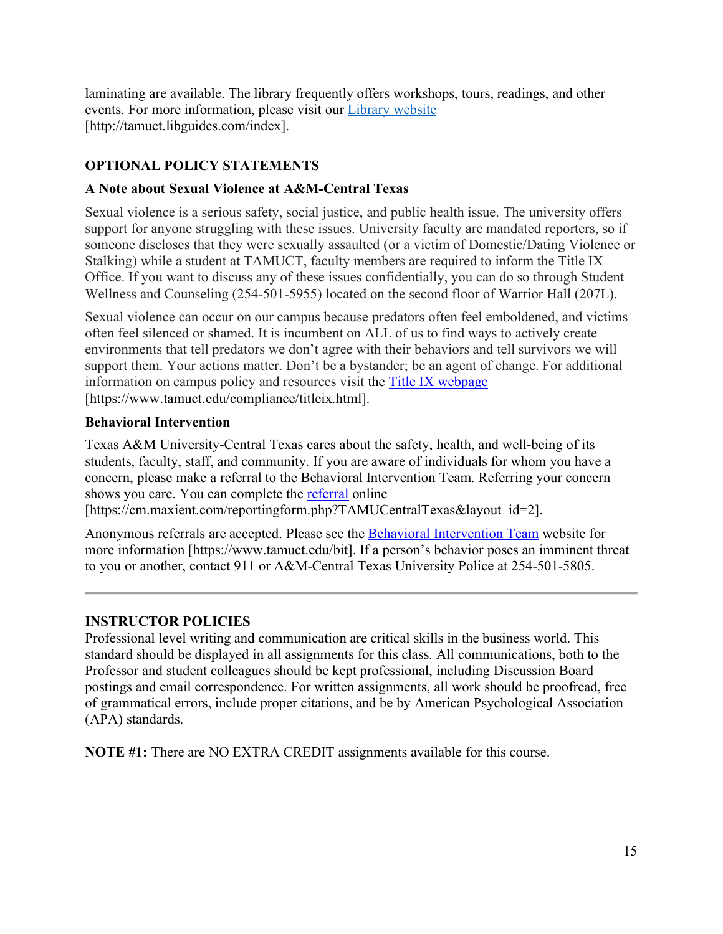laminating are available. The library frequently offers workshops, tours, readings, and other events. For more information, please visit our Library [website](https://nam04.safelinks.protection.outlook.com/?url=https%3A%2F%2Ftamuct.libguides.com%2Findex&data=04%7C01%7Clisa.bunkowski%40tamuct.edu%7C7d8489e8839a4915335f08d916f067f2%7C9eed4e3000f744849ff193ad8005acec%7C0%7C0%7C637566044056484222%7CUnknown%7CTWFpbGZsb3d8eyJWIjoiMC4wLjAwMDAiLCJQIjoiV2luMzIiLCJBTiI6Ik1haWwiLCJXVCI6Mn0%3D%7C1000&sdata=2R755V6rcIyedGrd4Os5rkgn1PvhHKU3kUV1vBKiHFo%3D&reserved=0)  [http://tamuct.libguides.com/index].

# **OPTIONAL POLICY STATEMENTS**

# **A Note about Sexual Violence at A&M-Central Texas**

Sexual violence is a serious safety, social justice, and public health issue. The university offers support for anyone struggling with these issues. University faculty are mandated reporters, so if someone discloses that they were sexually assaulted (or a victim of Domestic/Dating Violence or Stalking) while a student at TAMUCT, faculty members are required to inform the Title IX Office. If you want to discuss any of these issues confidentially, you can do so through Student Wellness and Counseling (254-501-5955) located on the second floor of Warrior Hall (207L).

Sexual violence can occur on our campus because predators often feel emboldened, and victims often feel silenced or shamed. It is incumbent on ALL of us to find ways to actively create environments that tell predators we don't agree with their behaviors and tell survivors we will support them. Your actions matter. Don't be a bystander; be an agent of change. For additional information on campus policy and resources visit the [Title IX webpage](https://www.tamuct.edu/compliance/titleix.html) [\[https://www.tamuct.edu/compliance/titleix.html\]](https://www.tamuct.edu/compliance/titleix.html).

# **Behavioral Intervention**

Texas A&M University-Central Texas cares about the safety, health, and well-being of its students, faculty, staff, and community. If you are aware of individuals for whom you have a concern, please make a referral to the Behavioral Intervention Team. Referring your concern shows you care. You can complete the [referral](https://cm.maxient.com/reportingform.php?TAMUCentralTexas&layout_id=2) online

```
[https://cm.maxient.com/reportingform.php?TAMUCentralTexas&layout_id=2].
```
Anonymous referrals are accepted. Please see the [Behavioral Intervention Team](https://www.tamuct.edu/bit) website for more information [https://www.tamuct.edu/bit]. If a person's behavior poses an imminent threat to you or another, contact 911 or A&M-Central Texas University Police at 254-501-5805.

# **INSTRUCTOR POLICIES**

Professional level writing and communication are critical skills in the business world. This standard should be displayed in all assignments for this class. All communications, both to the Professor and student colleagues should be kept professional, including Discussion Board postings and email correspondence. For written assignments, all work should be proofread, free of grammatical errors, include proper citations, and be by American Psychological Association (APA) standards.

**NOTE #1:** There are NO EXTRA CREDIT assignments available for this course.